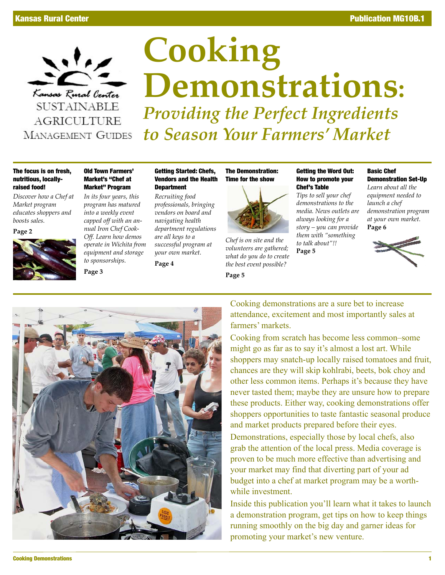

**AGRICULTURE MANAGEMENT GUIDES** 

# **Cooking Demonstrations:** *Providing the Perfect Ingredients to Season Your Farmers' Market*

#### The focus is on fresh, nutritious, locallyraised food!

*Discover how a Chef at Market program educates shoppers and boosts sales.*

**Page 2**



#### Old Town Farmers' Market's "Chef at Market" Program

*In its four years, this program has matured into a weekly event capped off with an annual Iron Chef Cook-Off. Learn how demos operate in Wichita from equipment and storage to sponsorships.*

**Page 3**

Getting Started: Chefs, Vendors and the Health **Department** 

*Recruiting food professionals, bringing vendors on board and navigating health department regulations are all keys to a successful program at your own market.*

**Page 4**

The Demonstration: Time for the show



*Chef is on site and the volunteers are gathered; what do you do to create the best event possible?*

**Page 5**

#### Getting the Word Out: How to promote your Chef's Table

*Tips to sell your chef demonstrations to the media. News outlets are always looking for a story – you can provide them with "something to talk about"!!*

**Page 5**

#### Basic Chef Demonstration Set-Up

*Learn about all the equipment needed to launch a chef demonstration program at your own market.* **Page 6** 





Cooking demonstrations are a sure bet to increase attendance, excitement and most importantly sales at farmers' markets.

Cooking from scratch has become less common–some might go as far as to say it's almost a lost art. While shoppers may snatch-up locally raised tomatoes and fruit, chances are they will skip kohlrabi, beets, bok choy and other less common items. Perhaps it's because they have never tasted them; maybe they are unsure how to prepare these products. Either way, cooking demonstrations offer shoppers opportunities to taste fantastic seasonal produce and market products prepared before their eyes.

Demonstrations, especially those by local chefs, also grab the attention of the local press. Media coverage is proven to be much more effective than advertising and your market may find that diverting part of your ad budget into a chef at market program may be a worthwhile investment.

Inside this publication you'll learn what it takes to launch a demonstration program, get tips on how to keep things running smoothly on the big day and garner ideas for promoting your market's new venture.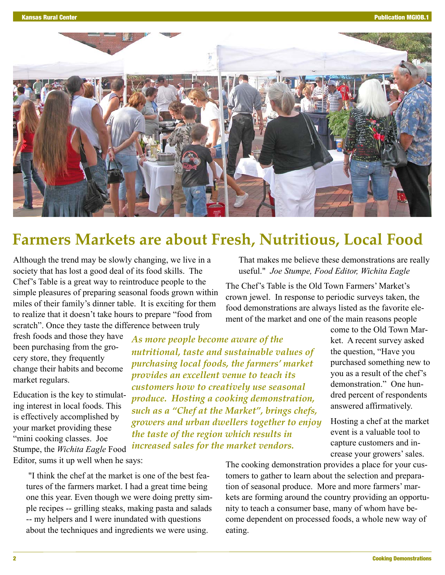

### **Farmers Markets are about Fresh, Nutritious, Local Food**

Although the trend may be slowly changing, we live in a society that has lost a good deal of its food skills. The Chef's Table is a great way to reintroduce people to the simple pleasures of preparing seasonal foods grown within miles of their family's dinner table. It is exciting for them to realize that it doesn't take hours to prepare "food from scratch". Once they taste the difference between truly

fresh foods and those they have been purchasing from the grocery store, they frequently change their habits and become market regulars.

Education is the key to stimulating interest in local foods. This is effectively accomplished by your market providing these "mini cooking classes. Joe Stumpe, the *Wichita Eagle* Food Editor, sums it up well when he says:

*As more people become aware of the nutritional, taste and sustainable values of purchasing local foods, the farmers' market provides an excellent venue to teach its customers how to creatively use seasonal produce. Hosting a cooking demonstration, such as a "Chef at the Market", brings chefs, growers and urban dwellers together to enjoy the taste of the region which results in increased sales for the market vendors.*

 "I think the chef at the market is one of the best features of the farmers market. I had a great time being one this year. Even though we were doing pretty simple recipes -- grilling steaks, making pasta and salads -- my helpers and I were inundated with questions about the techniques and ingredients we were using.

That makes me believe these demonstrations are really useful." *Joe Stumpe, Food Editor, Wichita Eagle*

The Chef's Table is the Old Town Farmers' Market's crown jewel. In response to periodic surveys taken, the food demonstrations are always listed as the favorite element of the market and one of the main reasons people

> come to the Old Town Market. A recent survey asked the question, "Have you purchased something new to you as a result of the chef's demonstration." One hundred percent of respondents answered affirmatively.

> Hosting a chef at the market event is a valuable tool to capture customers and increase your growers' sales.

The cooking demonstration provides a place for your customers to gather to learn about the selection and preparation of seasonal produce. More and more farmers' markets are forming around the country providing an opportunity to teach a consumer base, many of whom have become dependent on processed foods, a whole new way of eating.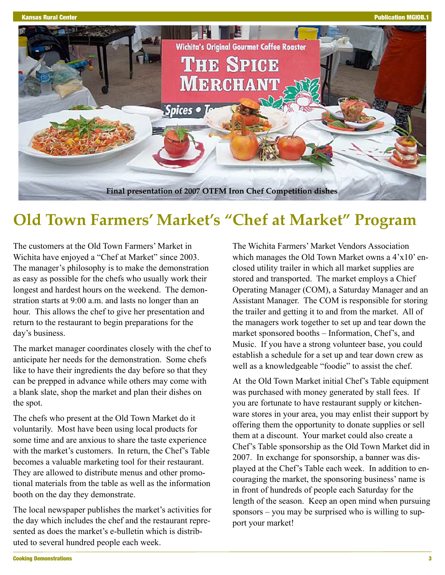

## **Old Town Farmers' Market's "Chef at Market" Program**

The customers at the Old Town Farmers' Market in Wichita have enjoyed a "Chef at Market" since 2003. The manager's philosophy is to make the demonstration as easy as possible for the chefs who usually work their longest and hardest hours on the weekend. The demonstration starts at 9:00 a.m. and lasts no longer than an hour. This allows the chef to give her presentation and return to the restaurant to begin preparations for the day's business.

The market manager coordinates closely with the chef to anticipate her needs for the demonstration. Some chefs like to have their ingredients the day before so that they can be prepped in advance while others may come with a blank slate, shop the market and plan their dishes on the spot.

The chefs who present at the Old Town Market do it voluntarily. Most have been using local products for some time and are anxious to share the taste experience with the market's customers. In return, the Chef's Table becomes a valuable marketing tool for their restaurant. They are allowed to distribute menus and other promotional materials from the table as well as the information booth on the day they demonstrate.

The local newspaper publishes the market's activities for the day which includes the chef and the restaurant represented as does the market's e-bulletin which is distributed to several hundred people each week.

The Wichita Farmers' Market Vendors Association which manages the Old Town Market owns a 4'x10' enclosed utility trailer in which all market supplies are stored and transported. The market employs a Chief Operating Manager (COM), a Saturday Manager and an Assistant Manager. The COM is responsible for storing the trailer and getting it to and from the market. All of the managers work together to set up and tear down the market sponsored booths – Information, Chef's, and Music. If you have a strong volunteer base, you could establish a schedule for a set up and tear down crew as well as a knowledgeable "foodie" to assist the chef.

At the Old Town Market initial Chef's Table equipment was purchased with money generated by stall fees. If you are fortunate to have restaurant supply or kitchenware stores in your area, you may enlist their support by offering them the opportunity to donate supplies or sell them at a discount. Your market could also create a Chef's Table sponsorship as the Old Town Market did in 2007. In exchange for sponsorship, a banner was displayed at the Chef's Table each week. In addition to encouraging the market, the sponsoring business' name is in front of hundreds of people each Saturday for the length of the season. Keep an open mind when pursuing sponsors – you may be surprised who is willing to support your market!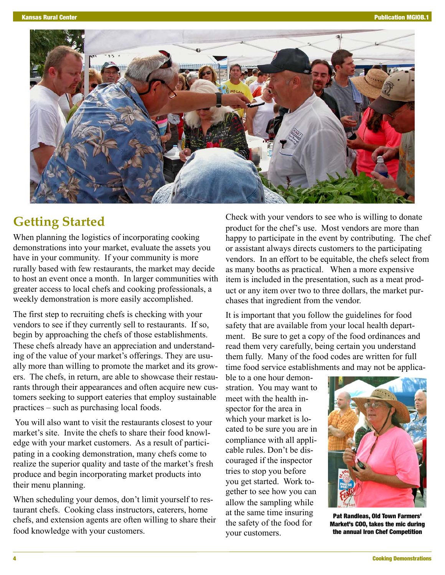

### **Getting Started**

When planning the logistics of incorporating cooking demonstrations into your market, evaluate the assets you have in your community. If your community is more rurally based with few restaurants, the market may decide to host an event once a month. In larger communities with greater access to local chefs and cooking professionals, a weekly demonstration is more easily accomplished.

The first step to recruiting chefs is checking with your vendors to see if they currently sell to restaurants. If so, begin by approaching the chefs of those establishments. These chefs already have an appreciation and understanding of the value of your market's offerings. They are usually more than willing to promote the market and its growers. The chefs, in return, are able to showcase their restaurants through their appearances and often acquire new customers seeking to support eateries that employ sustainable practices – such as purchasing local foods.

You will also want to visit the restaurants closest to your market's site. Invite the chefs to share their food knowledge with your market customers. As a result of participating in a cooking demonstration, many chefs come to realize the superior quality and taste of the market's fresh produce and begin incorporating market products into their menu planning.

When scheduling your demos, don't limit yourself to restaurant chefs. Cooking class instructors, caterers, home chefs, and extension agents are often willing to share their food knowledge with your customers.

Check with your vendors to see who is willing to donate product for the chef's use. Most vendors are more than happy to participate in the event by contributing. The chef or assistant always directs customers to the participating vendors. In an effort to be equitable, the chefs select from as many booths as practical. When a more expensive item is included in the presentation, such as a meat product or any item over two to three dollars, the market purchases that ingredient from the vendor.

It is important that you follow the guidelines for food safety that are available from your local health department. Be sure to get a copy of the food ordinances and read them very carefully, being certain you understand them fully. Many of the food codes are written for full time food service establishments and may not be applica-

ble to a one hour demonstration. You may want to meet with the health inspector for the area in which your market is located to be sure you are in compliance with all applicable rules. Don't be discouraged if the inspector tries to stop you before you get started. Work together to see how you can allow the sampling while at the same time insuring the safety of the food for your customers.



Pat Randleas, Old Town Farmers' Market's COO, takes the mic during the annual Iron Chef Competition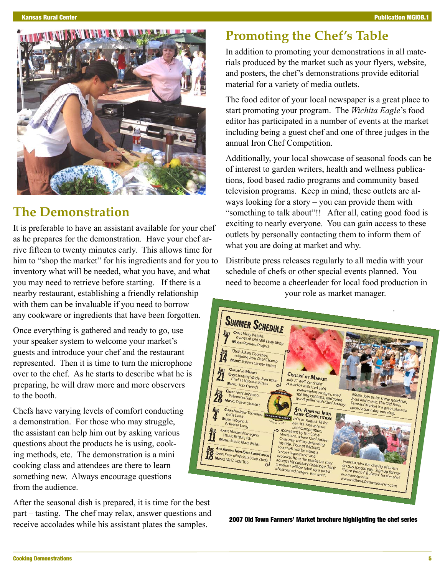

### **The Demonstration**

It is preferable to have an assistant available for your chef as he prepares for the demonstration. Have your chef arrive fifteen to twenty minutes early. This allows time for him to "shop the market" for his ingredients and for you to inventory what will be needed, what you have, and what you may need to retrieve before starting. If there is a nearby restaurant, establishing a friendly relationship with them can be invaluable if you need to borrow any cookware or ingredients that have been forgotten.

Once everything is gathered and ready to go, use your speaker system to welcome your market's guests and introduce your chef and the restaurant represented. Then it is time to turn the microphone over to the chef. As he starts to describe what he is preparing, he will draw more and more observers to the booth.

Chefs have varying levels of comfort conducting a demonstration. For those who may struggle, the assistant can help him out by asking various questions about the products he is using, cooking methods, etc. The demonstration is a mini cooking class and attendees are there to learn something new. Always encourage questions from the audience.

After the seasonal dish is prepared, it is time for the best part – tasting. The chef may relax, answer questions and receive accolades while his assistant plates the samples.

### **Promoting the Chef's Table**

In addition to promoting your demonstrations in all materials produced by the market such as your flyers, website, and posters, the chef's demonstrations provide editorial material for a variety of media outlets.

The food editor of your local newspaper is a great place to start promoting your program. The *Wichita Eagle*'s food editor has participated in a number of events at the market including being a guest chef and one of three judges in the annual Iron Chef Competition.

Additionally, your local showcase of seasonal foods can be of interest to garden writers, health and wellness publications, food based radio programs and community based television programs. Keep in mind, these outlets are always looking for a story – you can provide them with "something to talk about"!! After all, eating good food is exciting to nearly everyone. You can gain access to these outlets by personally contacting them to inform them of what you are doing at market and why.

Distribute press releases regularly to all media with your schedule of chefs or other special events planned. You need to become a cheerleader for local food production in your role as market manager.



2007 Old Town Farmers' Market brochure highlighting the chef series